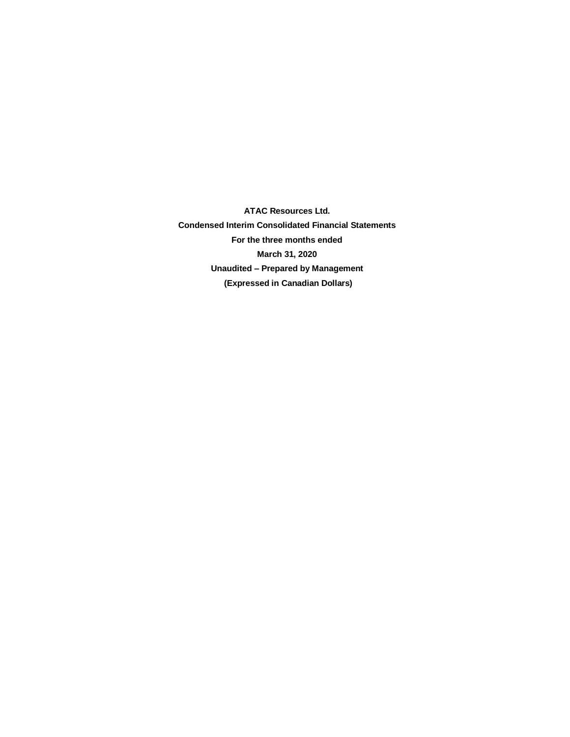**ATAC Resources Ltd. Condensed Interim Consolidated Financial Statements For the three months ended March 31, 2020 Unaudited – Prepared by Management (Expressed in Canadian Dollars)**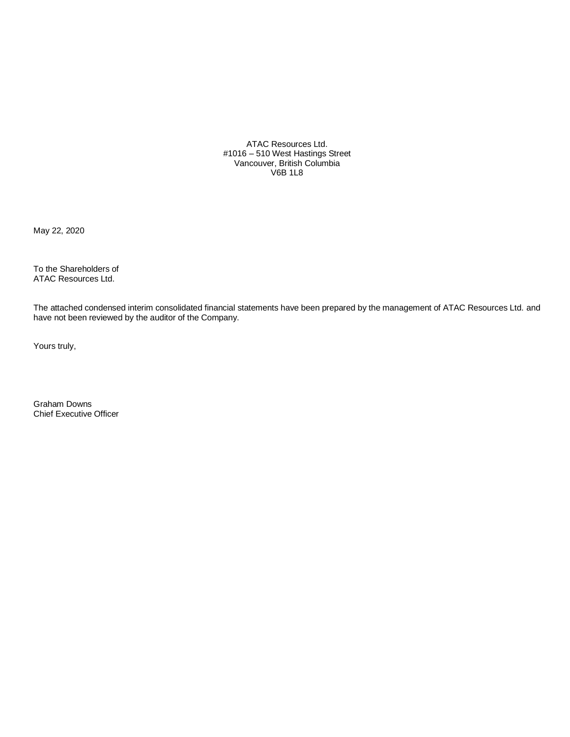ATAC Resources Ltd. #1016 – 510 West Hastings Street Vancouver, British Columbia V6B 1L8

May 22, 2020

To the Shareholders of ATAC Resources Ltd.

The attached condensed interim consolidated financial statements have been prepared by the management of ATAC Resources Ltd. and have not been reviewed by the auditor of the Company.

Yours truly,

Graham Downs Chief Executive Officer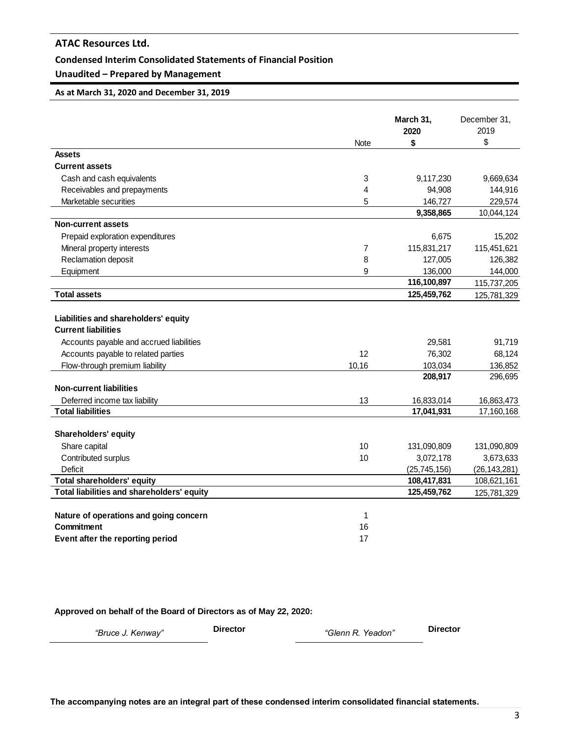## **Condensed Interim Consolidated Statements of Financial Position**

## **Unaudited – Prepared by Management**

## **As at March 31, 2020 and December 31, 2019**

|                                                                    |       | March 31,<br>2020 | December 31,<br>2019 |
|--------------------------------------------------------------------|-------|-------------------|----------------------|
|                                                                    | Note  | \$                | \$                   |
| Assets                                                             |       |                   |                      |
| <b>Current assets</b>                                              |       |                   |                      |
| Cash and cash equivalents                                          | 3     | 9,117,230         | 9,669,634            |
| Receivables and prepayments                                        | 4     | 94,908            | 144,916              |
| Marketable securities                                              | 5     | 146,727           | 229,574              |
|                                                                    |       | 9,358,865         | 10,044,124           |
| <b>Non-current assets</b>                                          |       |                   |                      |
| Prepaid exploration expenditures                                   |       | 6,675             | 15,202               |
| Mineral property interests                                         | 7     | 115,831,217       | 115,451,621          |
| Reclamation deposit                                                | 8     | 127,005           | 126,382              |
| Equipment                                                          | 9     | 136,000           | 144,000              |
|                                                                    |       | 116,100,897       | 115,737,205          |
| <b>Total assets</b>                                                |       | 125,459,762       | 125,781,329          |
| Liabilities and shareholders' equity<br><b>Current liabilities</b> |       |                   |                      |
| Accounts payable and accrued liabilities                           |       | 29,581            | 91,719               |
| Accounts payable to related parties                                | 12    | 76,302            | 68,124               |
| Flow-through premium liability                                     | 10,16 | 103,034           | 136,852              |
|                                                                    |       | 208,917           | 296,695              |
| <b>Non-current liabilities</b>                                     |       |                   |                      |
| Deferred income tax liability                                      | 13    | 16,833,014        | 16,863,473           |
| <b>Total liabilities</b>                                           |       | 17,041,931        | 17,160,168           |
| Shareholders' equity                                               |       |                   |                      |
| Share capital                                                      | 10    | 131,090,809       | 131,090,809          |
| Contributed surplus                                                | 10    | 3,072,178         | 3,673,633            |
| Deficit                                                            |       | (25, 745, 156)    | (26, 143, 281)       |
| Total shareholders' equity                                         |       | 108,417,831       | 108,621,161          |
| Total liabilities and shareholders' equity                         |       | 125,459,762       | 125,781,329          |
|                                                                    |       |                   |                      |
| Nature of operations and going concern                             | 1     |                   |                      |
| Commitment                                                         | 16    |                   |                      |
| Event after the reporting period                                   | 17    |                   |                      |

**Approved on behalf of the Board of Directors as of May 22, 2020:**

*"Bruce J. Kenway"* **Director** *"Glenn R. Yeadon"* **Director**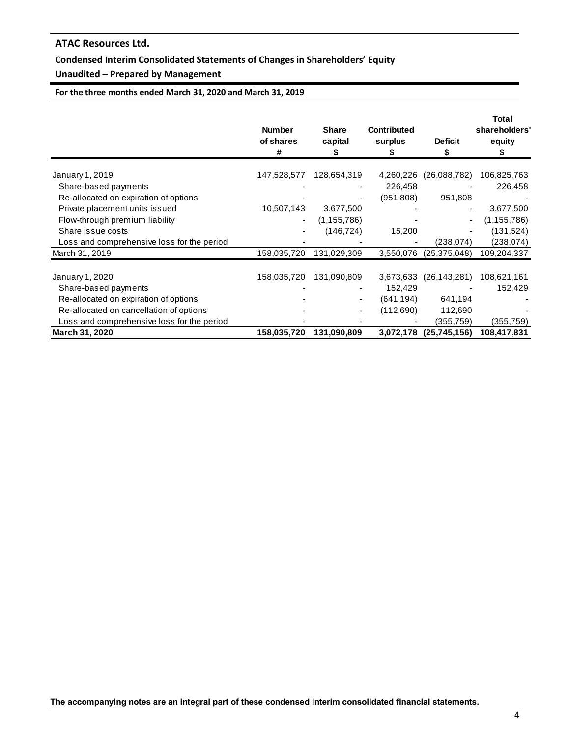## **Condensed Interim Consolidated Statements of Changes in Shareholders' Equity**

## **Unaudited – Prepared by Management**

**For the three months ended March 31, 2020 and March 31, 2019**

|                                            | <b>Number</b><br>of shares<br># | <b>Share</b><br>capital<br>S | <b>Contributed</b><br>surplus | <b>Deficit</b><br>S | <b>Total</b><br>shareholders'<br>equity |
|--------------------------------------------|---------------------------------|------------------------------|-------------------------------|---------------------|-----------------------------------------|
| January 1, 2019                            | 147,528,577                     | 128,654,319                  | 4,260,226                     | (26,088,782)        | 106,825,763                             |
| Share-based payments                       |                                 |                              | 226,458                       |                     | 226,458                                 |
| Re-allocated on expiration of options      |                                 | -                            | (951,808)                     | 951,808             |                                         |
| Private placement units issued             | 10,507,143                      | 3,677,500                    |                               | ۰                   | 3,677,500                               |
| Flow-through premium liability             | ۰                               | (1, 155, 786)                |                               | ٠                   | (1,155,786)                             |
| Share issue costs                          |                                 | (146, 724)                   | 15,200                        |                     | (131, 524)                              |
| Loss and comprehensive loss for the period |                                 |                              |                               | (238, 074)          | (238, 074)                              |
| March 31, 2019                             | 158,035,720                     | 131,029,309                  | 3,550,076                     | (25, 375, 048)      | 109,204,337                             |
| January 1, 2020                            | 158,035,720                     | 131,090,809                  | 3,673,633                     | (26, 143, 281)      | 108,621,161                             |
| Share-based payments                       |                                 |                              | 152,429                       |                     | 152,429                                 |
| Re-allocated on expiration of options      |                                 | ۰                            | (641,194)                     | 641,194             |                                         |
| Re-allocated on cancellation of options    |                                 | ۰                            | (112,690)                     | 112,690             |                                         |
| Loss and comprehensive loss for the period |                                 |                              |                               | (355,759)           | (355,759)                               |
| March 31, 2020                             | 158,035,720                     | 131,090,809                  | 3,072,178                     | (25,745,156)        | 108,417,831                             |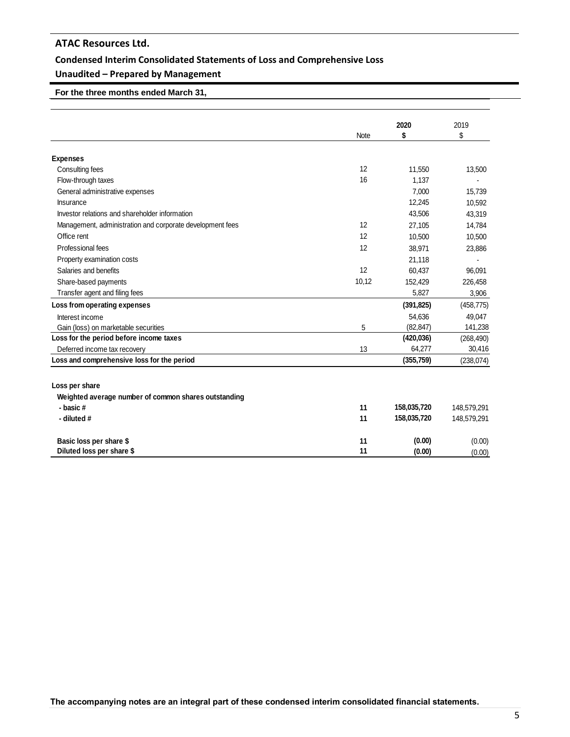## **Condensed Interim Consolidated Statements of Loss and Comprehensive Loss**

## **Unaudited – Prepared by Management**

## **For the three months ended March 31,**

|                                                           |       | 2020        | 2019        |
|-----------------------------------------------------------|-------|-------------|-------------|
|                                                           | Note  | \$          | \$          |
|                                                           |       |             |             |
| <b>Expenses</b>                                           |       |             |             |
| Consulting fees                                           | 12    | 11,550      | 13,500      |
| Flow-through taxes                                        | 16    | 1,137       |             |
| General administrative expenses                           |       | 7.000       | 15.739      |
| <b>Insurance</b>                                          |       | 12,245      | 10,592      |
| Investor relations and shareholder information            |       | 43,506      | 43,319      |
| Management, administration and corporate development fees | 12    | 27,105      | 14.784      |
| Office rent                                               | 12    | 10,500      | 10,500      |
| Professional fees                                         | 12    | 38.971      | 23,886      |
| Property examination costs                                |       | 21,118      |             |
| Salaries and benefits                                     | 12    | 60,437      | 96,091      |
| Share-based payments                                      | 10,12 | 152,429     | 226,458     |
| Transfer agent and filing fees                            |       | 5,827       | 3,906       |
| Loss from operating expenses                              |       | (391, 825)  | (458, 775)  |
| Interest income                                           |       | 54,636      | 49,047      |
| Gain (loss) on marketable securities                      | 5     | (82, 847)   | 141,238     |
| Loss for the period before income taxes                   |       | (420, 036)  | (268, 490)  |
| Deferred income tax recovery                              | 13    | 64,277      | 30,416      |
| Loss and comprehensive loss for the period                |       | (355, 759)  | (238, 074)  |
|                                                           |       |             |             |
| Loss per share                                            |       |             |             |
| Weighted average number of common shares outstanding      |       |             |             |
| - basic#                                                  | 11    | 158,035,720 | 148,579,291 |
| - diluted #                                               | 11    | 158,035,720 | 148,579,291 |
| Basic loss per share \$                                   | 11    | (0.00)      | (0.00)      |
| Diluted loss per share \$                                 | 11    | (0.00)      | (0.00)      |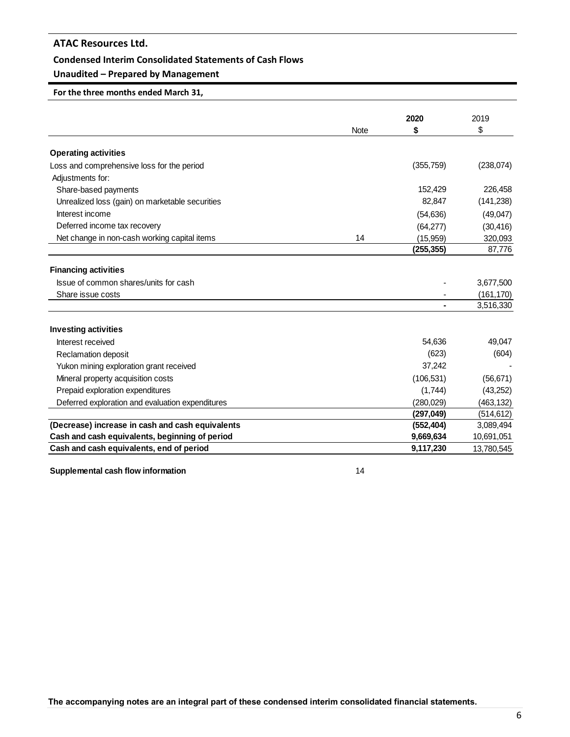## **Condensed Interim Consolidated Statements of Cash Flows**

## **Unaudited – Prepared by Management**

## **For the three months ended March 31,**

|                                                  |             | 2020       | 2019       |
|--------------------------------------------------|-------------|------------|------------|
|                                                  | <b>Note</b> | \$         | \$         |
| <b>Operating activities</b>                      |             |            |            |
| Loss and comprehensive loss for the period       |             | (355, 759) | (238, 074) |
| Adjustments for:                                 |             |            |            |
| Share-based payments                             |             | 152,429    | 226,458    |
| Unrealized loss (gain) on marketable securities  |             | 82,847     | (141, 238) |
| Interest income                                  |             | (54, 636)  | (49, 047)  |
| Deferred income tax recovery                     |             | (64, 277)  | (30, 416)  |
| Net change in non-cash working capital items     | 14          | (15, 959)  | 320,093    |
|                                                  |             | (255,355)  | 87,776     |
|                                                  |             |            |            |
| <b>Financing activities</b>                      |             |            |            |
| Issue of common shares/units for cash            |             |            | 3,677,500  |
| Share issue costs                                |             |            | (161, 170) |
|                                                  |             |            | 3,516,330  |
| <b>Investing activities</b>                      |             |            |            |
| Interest received                                |             | 54,636     | 49,047     |
| Reclamation deposit                              |             | (623)      | (604)      |
| Yukon mining exploration grant received          |             | 37,242     |            |
| Mineral property acquisition costs               |             | (106, 531) | (56, 671)  |
| Prepaid exploration expenditures                 |             | (1,744)    | (43, 252)  |
| Deferred exploration and evaluation expenditures |             | (280, 029) | (463, 132) |
|                                                  |             | (297, 049) | (514, 612) |
| (Decrease) increase in cash and cash equivalents |             | (552, 404) | 3,089,494  |
| Cash and cash equivalents, beginning of period   |             | 9,669,634  | 10,691,051 |
| Cash and cash equivalents, end of period         |             | 9,117,230  | 13,780,545 |

**Supplemental cash flow information** 14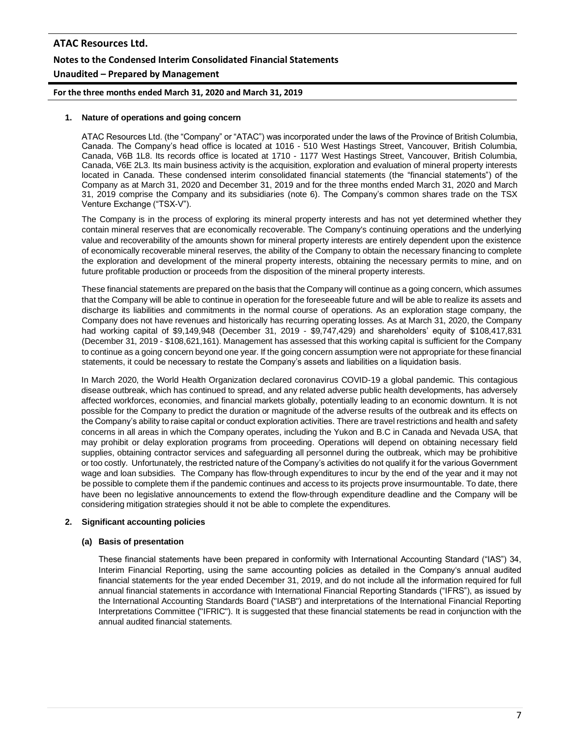# **ATAC Resources Ltd. Notes to the Condensed Interim Consolidated Financial Statements Unaudited – Prepared by Management**

**For the three months ended March 31, 2020 and March 31, 2019**

## **1. Nature of operations and going concern**

ATAC Resources Ltd. (the "Company" or "ATAC") was incorporated under the laws of the Province of British Columbia, Canada. The Company's head office is located at 1016 - 510 West Hastings Street, Vancouver, British Columbia, Canada, V6B 1L8. Its records office is located at 1710 - 1177 West Hastings Street, Vancouver, British Columbia, Canada, V6E 2L3. Its main business activity is the acquisition, exploration and evaluation of mineral property interests located in Canada. These condensed interim consolidated financial statements (the "financial statements") of the Company as at March 31, 2020 and December 31, 2019 and for the three months ended March 31, 2020 and March 31, 2019 comprise the Company and its subsidiaries (note 6). The Company's common shares trade on the TSX Venture Exchange ("TSX-V").

The Company is in the process of exploring its mineral property interests and has not yet determined whether they contain mineral reserves that are economically recoverable. The Company's continuing operations and the underlying value and recoverability of the amounts shown for mineral property interests are entirely dependent upon the existence of economically recoverable mineral reserves, the ability of the Company to obtain the necessary financing to complete the exploration and development of the mineral property interests, obtaining the necessary permits to mine, and on future profitable production or proceeds from the disposition of the mineral property interests.

These financial statements are prepared on the basis that the Company will continue as a going concern, which assumes that the Company will be able to continue in operation for the foreseeable future and will be able to realize its assets and discharge its liabilities and commitments in the normal course of operations. As an exploration stage company, the Company does not have revenues and historically has recurring operating losses. As at March 31, 2020, the Company had working capital of \$9,149,948 (December 31, 2019 - \$9,747,429) and shareholders' equity of \$108,417,831 (December 31, 2019 - \$108,621,161). Management has assessed that this working capital is sufficient for the Company to continue as a going concern beyond one year. If the going concern assumption were not appropriate for these financial statements, it could be necessary to restate the Company's assets and liabilities on a liquidation basis.

In March 2020, the World Health Organization declared coronavirus COVID-19 a global pandemic. This contagious disease outbreak, which has continued to spread, and any related adverse public health developments, has adversely affected workforces, economies, and financial markets globally, potentially leading to an economic downturn. It is not possible for the Company to predict the duration or magnitude of the adverse results of the outbreak and its effects on the Company's ability to raise capital or conduct exploration activities. There are travel restrictions and health and safety concerns in all areas in which the Company operates, including the Yukon and B.C in Canada and Nevada USA, that may prohibit or delay exploration programs from proceeding. Operations will depend on obtaining necessary field supplies, obtaining contractor services and safeguarding all personnel during the outbreak, which may be prohibitive or too costly. Unfortunately, the restricted nature of the Company's activities do not qualify it for the various Government wage and loan subsidies. The Company has flow-through expenditures to incur by the end of the year and it may not be possible to complete them if the pandemic continues and access to its projects prove insurmountable. To date, there have been no legislative announcements to extend the flow-through expenditure deadline and the Company will be considering mitigation strategies should it not be able to complete the expenditures.

## **2. Significant accounting policies**

#### **(a) Basis of presentation**

These financial statements have been prepared in conformity with International Accounting Standard ("IAS") 34, Interim Financial Reporting, using the same accounting policies as detailed in the Company's annual audited financial statements for the year ended December 31, 2019, and do not include all the information required for full annual financial statements in accordance with International Financial Reporting Standards ("IFRS"), as issued by the International Accounting Standards Board ("IASB") and interpretations of the International Financial Reporting Interpretations Committee ("IFRIC"). It is suggested that these financial statements be read in conjunction with the annual audited financial statements.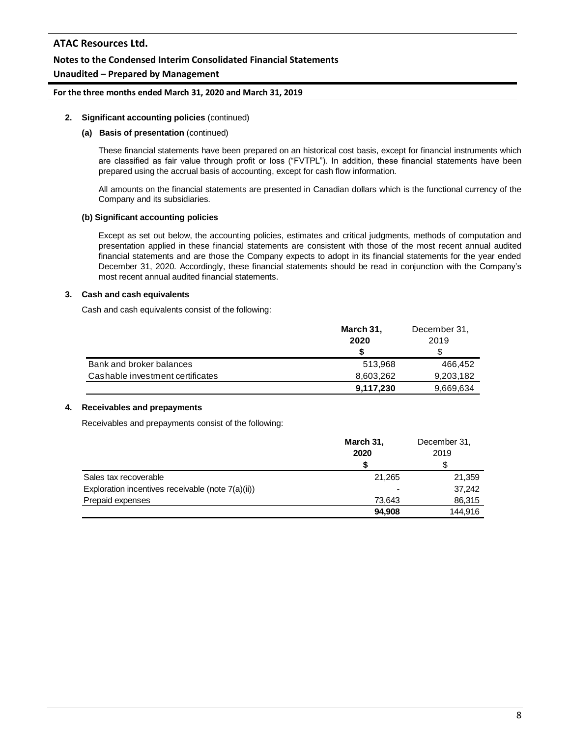## **Notes to the Condensed Interim Consolidated Financial Statements**

## **Unaudited – Prepared by Management**

#### **For the three months ended March 31, 2020 and March 31, 2019**

#### **2. Significant accounting policies** (continued)

#### **(a) Basis of presentation** (continued)

These financial statements have been prepared on an historical cost basis, except for financial instruments which are classified as fair value through profit or loss ("FVTPL"). In addition, these financial statements have been prepared using the accrual basis of accounting, except for cash flow information.

All amounts on the financial statements are presented in Canadian dollars which is the functional currency of the Company and its subsidiaries.

#### **(b) Significant accounting policies**

Except as set out below, the accounting policies, estimates and critical judgments, methods of computation and presentation applied in these financial statements are consistent with those of the most recent annual audited financial statements and are those the Company expects to adopt in its financial statements for the year ended December 31, 2020. Accordingly, these financial statements should be read in conjunction with the Company's most recent annual audited financial statements.

#### **3. Cash and cash equivalents**

Cash and cash equivalents consist of the following:

|                                  | March 31, | December 31, |
|----------------------------------|-----------|--------------|
|                                  | 2020      | 2019         |
|                                  | S         |              |
| Bank and broker balances         | 513.968   | 466.452      |
| Cashable investment certificates | 8,603,262 | 9,203,182    |
|                                  | 9,117,230 | 9,669,634    |

## **4. Receivables and prepayments**

Receivables and prepayments consist of the following:

| March 31, | December 31, |
|-----------|--------------|
| 2020      | 2019         |
| S         | S            |
| 21,265    | 21,359       |
|           | 37,242       |
| 73.643    | 86,315       |
| 94,908    | 144,916      |
|           |              |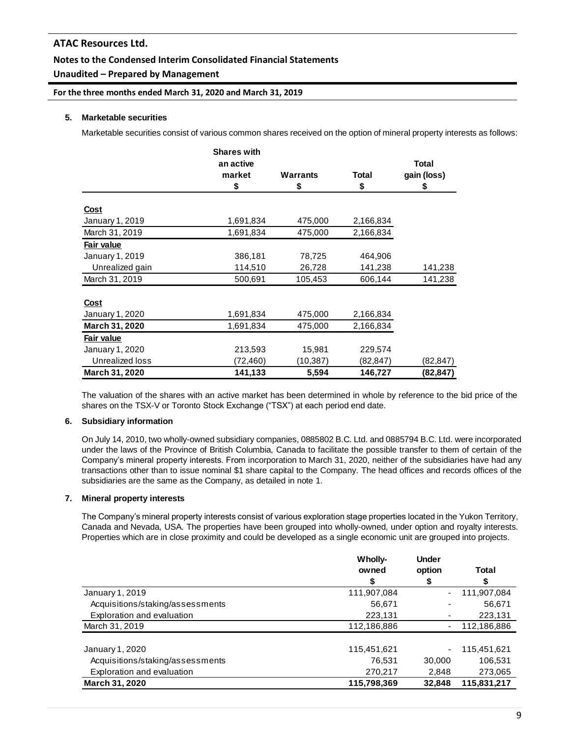## **Notes to the Condensed Interim Consolidated Financial Statements**

## **Unaudited – Prepared by Management**

**For the three months ended March 31, 2020 and March 31, 2019**

## **5. Marketable securities**

Marketable securities consist of various common shares received on the option of mineral property interests as follows:

|                 | <b>Shares with</b> |                 |           |             |
|-----------------|--------------------|-----------------|-----------|-------------|
|                 | an active          |                 |           | Total       |
|                 | market             | <b>Warrants</b> | Total     | gain (loss) |
|                 | \$                 | \$              | \$        | \$          |
| <u>Cost</u>     |                    |                 |           |             |
| January 1, 2019 | 1,691,834          | 475,000         | 2,166,834 |             |
| March 31, 2019  | 1,691,834          | 475,000         | 2,166,834 |             |
| Fair value      |                    |                 |           |             |
| January 1, 2019 | 386,181            | 78,725          | 464,906   |             |
| Unrealized gain | 114,510            | 26,728          | 141,238   | 141,238     |
| March 31, 2019  | 500,691            | 105,453         | 606,144   | 141,238     |
|                 |                    |                 |           |             |
| <u>Cost</u>     |                    |                 |           |             |
| January 1, 2020 | 1,691,834          | 475,000         | 2,166,834 |             |
| March 31, 2020  | 1,691,834          | 475,000         | 2,166,834 |             |
| Fair value      |                    |                 |           |             |
| January 1, 2020 | 213,593            | 15,981          | 229,574   |             |
| Unrealized loss | (72,460)           | (10,387)        | (82,847)  | (82,847)    |
| March 31, 2020  | 141,133            | 5,594           | 146,727   | (82,847)    |

The valuation of the shares with an active market has been determined in whole by reference to the bid price of the shares on the TSX-V or Toronto Stock Exchange ("TSX") at each period end date.

## **6. Subsidiary information**

On July 14, 2010, two wholly-owned subsidiary companies, 0885802 B.C. Ltd. and 0885794 B.C. Ltd. were incorporated under the laws of the Province of British Columbia, Canada to facilitate the possible transfer to them of certain of the Company's mineral property interests. From incorporation to March 31, 2020, neither of the subsidiaries have had any transactions other than to issue nominal \$1 share capital to the Company. The head offices and records offices of the subsidiaries are the same as the Company, as detailed in note 1.

#### **7. Mineral property interests**

The Company's mineral property interests consist of various exploration stage properties located in the Yukon Territory, Canada and Nevada, USA. The properties have been grouped into wholly-owned, under option and royalty interests. Properties which are in close proximity and could be developed as a single economic unit are grouped into projects.

|                                  | Wholly-     | <b>Under</b> |             |
|----------------------------------|-------------|--------------|-------------|
|                                  | owned       | option       | Total       |
|                                  | \$          | \$           | S           |
| January 1, 2019                  | 111,907,084 | -            | 111,907,084 |
| Acquisitions/staking/assessments | 56,671      |              | 56,671      |
| Exploration and evaluation       | 223,131     |              | 223,131     |
| March 31, 2019                   | 112,186,886 |              | 112,186,886 |
| January 1, 2020                  | 115,451,621 | ۰            | 115,451,621 |
| Acquisitions/staking/assessments | 76.531      | 30,000       | 106,531     |
| Exploration and evaluation       | 270,217     | 2,848        | 273,065     |
| <b>March 31, 2020</b>            | 115,798,369 | 32,848       | 115,831,217 |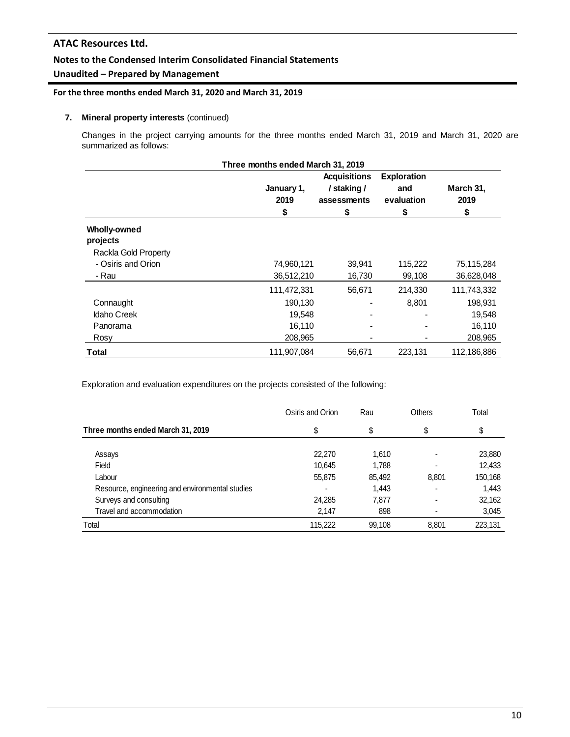## **Notes to the Condensed Interim Consolidated Financial Statements**

## **Unaudited – Prepared by Management**

## **For the three months ended March 31, 2020 and March 31, 2019**

## **7. Mineral property interests** (continued)

Changes in the project carrying amounts for the three months ended March 31, 2019 and March 31, 2020 are summarized as follows:

|                                 | Three months ended March 31, 2019 |                                                         |                                               |                         |
|---------------------------------|-----------------------------------|---------------------------------------------------------|-----------------------------------------------|-------------------------|
|                                 | January 1,<br>2019<br>\$          | <b>Acquisitions</b><br>/ staking /<br>assessments<br>\$ | <b>Exploration</b><br>and<br>evaluation<br>\$ | March 31,<br>2019<br>\$ |
| <b>Wholly-owned</b><br>projects |                                   |                                                         |                                               |                         |
| Rackla Gold Property            |                                   |                                                         |                                               |                         |
| - Osiris and Orion              | 74,960,121                        | 39,941                                                  | 115,222                                       | 75,115,284              |
| - Rau                           | 36,512,210                        | 16,730                                                  | 99,108                                        | 36,628,048              |
|                                 | 111,472,331                       | 56,671                                                  | 214,330                                       | 111,743,332             |
| Connaught                       | 190,130                           |                                                         | 8,801                                         | 198,931                 |
| <b>Idaho Creek</b>              | 19,548                            |                                                         |                                               | 19,548                  |
| Panorama                        | 16,110                            |                                                         |                                               | 16,110                  |
| Rosy                            | 208,965                           |                                                         |                                               | 208,965                 |
| Total                           | 111,907,084                       | 56,671                                                  | 223,131                                       | 112,186,886             |

Exploration and evaluation expenditures on the projects consisted of the following:

|                                                 | Osiris and Orion | Rau    | Others         | Total   |
|-------------------------------------------------|------------------|--------|----------------|---------|
| Three months ended March 31, 2019               | \$               | \$     | \$             | \$      |
| Assays                                          | 22,270           | 1,610  | -              | 23,880  |
| Field                                           | 10.645           | 1,788  | -              | 12,433  |
| Labour                                          | 55,875           | 85,492 | 8.801          | 150,168 |
| Resource, engineering and environmental studies |                  | 1,443  | $\blacksquare$ | 1,443   |
| Surveys and consulting                          | 24.285           | 7,877  | $\blacksquare$ | 32,162  |
| Travel and accommodation                        | 2,147            | 898    |                | 3,045   |
| Total                                           | 115.222          | 99,108 | 8.801          | 223,131 |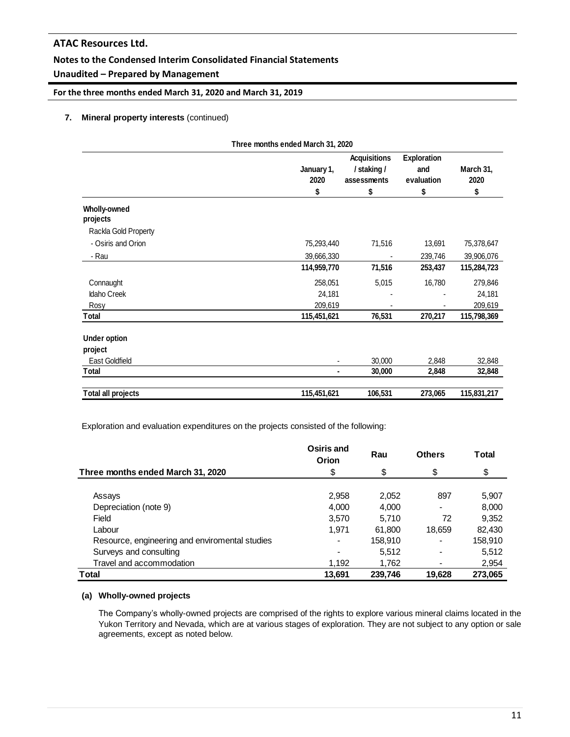## **Notes to the Condensed Interim Consolidated Financial Statements**

## **Unaudited – Prepared by Management**

**For the three months ended March 31, 2020 and March 31, 2019**

## **7. Mineral property interests** (continued)

|                                 | Three months ended March 31, 2020 |                                                         |                                               |                         |
|---------------------------------|-----------------------------------|---------------------------------------------------------|-----------------------------------------------|-------------------------|
|                                 | January 1,<br>2020<br>\$          | <b>Acquisitions</b><br>/ staking /<br>assessments<br>\$ | <b>Exploration</b><br>and<br>evaluation<br>\$ | March 31,<br>2020<br>\$ |
| <b>Wholly-owned</b><br>projects |                                   |                                                         |                                               |                         |
| Rackla Gold Property            |                                   |                                                         |                                               |                         |
| - Osiris and Orion              | 75,293,440                        | 71,516                                                  | 13,691                                        | 75,378,647              |
| - Rau                           | 39,666,330                        |                                                         | 239,746                                       | 39,906,076              |
|                                 | 114,959,770                       | 71,516                                                  | 253,437                                       | 115,284,723             |
| Connaught                       | 258,051                           | 5,015                                                   | 16,780                                        | 279,846                 |
| Idaho Creek                     | 24,181                            |                                                         |                                               | 24,181                  |
| Rosy                            | 209,619                           |                                                         |                                               | 209,619                 |
| Total                           | 115,451,621                       | 76,531                                                  | 270,217                                       | 115,798,369             |
| <b>Under option</b>             |                                   |                                                         |                                               |                         |
| project                         |                                   |                                                         |                                               |                         |
| East Goldfield                  |                                   | 30,000                                                  | 2,848                                         | 32,848                  |
| <b>Total</b>                    | $\blacksquare$                    | 30,000                                                  | 2,848                                         | 32,848                  |
| <b>Total all projects</b>       | 115,451,621                       | 106,531                                                 | 273,065                                       | 115,831,217             |

Exploration and evaluation expenditures on the projects consisted of the following:

|                                                | Osiris and<br>Orion | Rau     | <b>Others</b> | <b>Total</b> |
|------------------------------------------------|---------------------|---------|---------------|--------------|
| Three months ended March 31, 2020              | \$                  | \$      | \$            | \$           |
| Assays                                         | 2,958               | 2,052   | 897           | 5,907        |
| Depreciation (note 9)                          | 4,000               | 4,000   |               | 8,000        |
| Field                                          | 3,570               | 5.710   | 72            | 9,352        |
| Labour                                         | 1,971               | 61,800  | 18,659        | 82,430       |
| Resource, engineering and enviromental studies |                     | 158,910 |               | 158,910      |
| Surveys and consulting                         |                     | 5,512   |               | 5,512        |
| Travel and accommodation                       | 1,192               | 1.762   |               | 2,954        |
| Total                                          | 13,691              | 239,746 | 19,628        | 273,065      |

## **(a) Wholly-owned projects**

The Company's wholly-owned projects are comprised of the rights to explore various mineral claims located in the Yukon Territory and Nevada, which are at various stages of exploration. They are not subject to any option or sale agreements, except as noted below.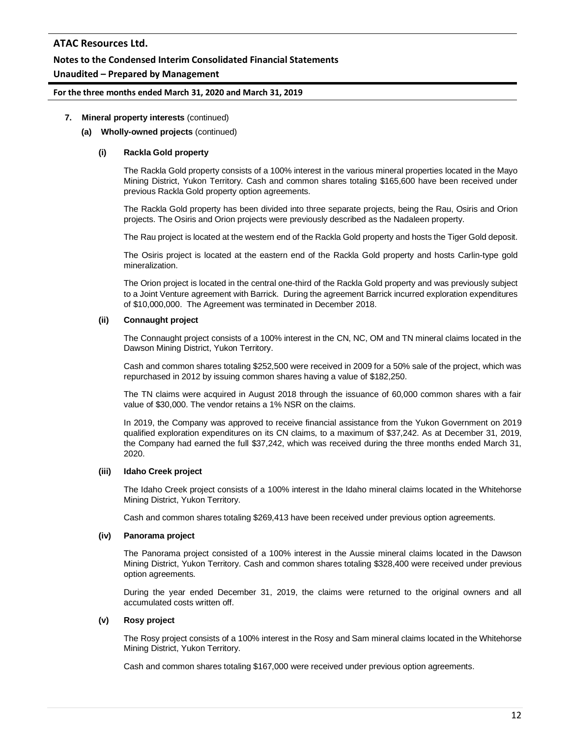## **Notes to the Condensed Interim Consolidated Financial Statements**

## **Unaudited – Prepared by Management**

## **For the three months ended March 31, 2020 and March 31, 2019**

## **7. Mineral property interests** (continued)

#### **(a) Wholly-owned projects** (continued)

#### **(i) Rackla Gold property**

The Rackla Gold property consists of a 100% interest in the various mineral properties located in the Mayo Mining District, Yukon Territory. Cash and common shares totaling \$165,600 have been received under previous Rackla Gold property option agreements.

The Rackla Gold property has been divided into three separate projects, being the Rau, Osiris and Orion projects. The Osiris and Orion projects were previously described as the Nadaleen property.

The Rau project is located at the western end of the Rackla Gold property and hosts the Tiger Gold deposit.

The Osiris project is located at the eastern end of the Rackla Gold property and hosts Carlin-type gold mineralization.

The Orion project is located in the central one-third of the Rackla Gold property and was previously subject to a Joint Venture agreement with Barrick. During the agreement Barrick incurred exploration expenditures of \$10,000,000. The Agreement was terminated in December 2018.

#### **(ii) Connaught project**

The Connaught project consists of a 100% interest in the CN, NC, OM and TN mineral claims located in the Dawson Mining District, Yukon Territory.

Cash and common shares totaling \$252,500 were received in 2009 for a 50% sale of the project, which was repurchased in 2012 by issuing common shares having a value of \$182,250.

The TN claims were acquired in August 2018 through the issuance of 60,000 common shares with a fair value of \$30,000. The vendor retains a 1% NSR on the claims.

In 2019, the Company was approved to receive financial assistance from the Yukon Government on 2019 qualified exploration expenditures on its CN claims, to a maximum of \$37,242. As at December 31, 2019, the Company had earned the full \$37,242, which was received during the three months ended March 31, 2020.

## **(iii) Idaho Creek project**

The Idaho Creek project consists of a 100% interest in the Idaho mineral claims located in the Whitehorse Mining District, Yukon Territory.

Cash and common shares totaling \$269,413 have been received under previous option agreements.

#### **(iv) Panorama project**

The Panorama project consisted of a 100% interest in the Aussie mineral claims located in the Dawson Mining District, Yukon Territory. Cash and common shares totaling \$328,400 were received under previous option agreements.

During the year ended December 31, 2019, the claims were returned to the original owners and all accumulated costs written off.

#### **(v) Rosy project**

The Rosy project consists of a 100% interest in the Rosy and Sam mineral claims located in the Whitehorse Mining District, Yukon Territory.

Cash and common shares totaling \$167,000 were received under previous option agreements.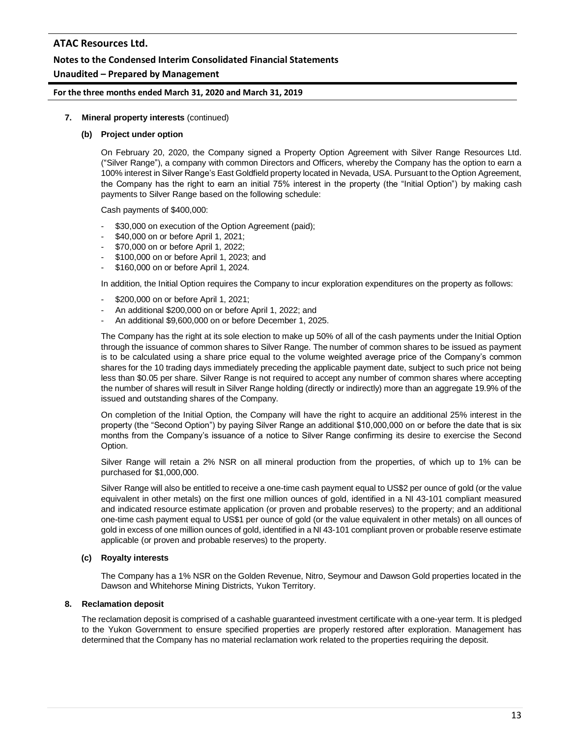## **Notes to the Condensed Interim Consolidated Financial Statements**

## **Unaudited – Prepared by Management**

#### **For the three months ended March 31, 2020 and March 31, 2019**

#### **7. Mineral property interests** (continued)

#### **(b) Project under option**

On February 20, 2020, the Company signed a Property Option Agreement with Silver Range Resources Ltd. ("Silver Range"), a company with common Directors and Officers, whereby the Company has the option to earn a 100% interest in Silver Range's East Goldfield property located in Nevada, USA. Pursuant to the Option Agreement, the Company has the right to earn an initial 75% interest in the property (the "Initial Option") by making cash payments to Silver Range based on the following schedule:

Cash payments of \$400,000:

- \$30,000 on execution of the Option Agreement (paid);
- \$40,000 on or before April 1, 2021;
- \$70,000 on or before April 1, 2022;
- \$100,000 on or before April 1, 2023; and
- \$160,000 on or before April 1, 2024.

In addition, the Initial Option requires the Company to incur exploration expenditures on the property as follows:

- \$200,000 on or before April 1, 2021;
- An additional \$200,000 on or before April 1, 2022; and
- An additional \$9,600,000 on or before December 1, 2025.

The Company has the right at its sole election to make up 50% of all of the cash payments under the Initial Option through the issuance of common shares to Silver Range. The number of common shares to be issued as payment is to be calculated using a share price equal to the volume weighted average price of the Company's common shares for the 10 trading days immediately preceding the applicable payment date, subject to such price not being less than \$0.05 per share. Silver Range is not required to accept any number of common shares where accepting the number of shares will result in Silver Range holding (directly or indirectly) more than an aggregate 19.9% of the issued and outstanding shares of the Company.

On completion of the Initial Option, the Company will have the right to acquire an additional 25% interest in the property (the "Second Option") by paying Silver Range an additional \$10,000,000 on or before the date that is six months from the Company's issuance of a notice to Silver Range confirming its desire to exercise the Second Option.

Silver Range will retain a 2% NSR on all mineral production from the properties, of which up to 1% can be purchased for \$1,000,000.

Silver Range will also be entitled to receive a one-time cash payment equal to US\$2 per ounce of gold (or the value equivalent in other metals) on the first one million ounces of gold, identified in a NI 43-101 compliant measured and indicated resource estimate application (or proven and probable reserves) to the property; and an additional one-time cash payment equal to US\$1 per ounce of gold (or the value equivalent in other metals) on all ounces of gold in excess of one million ounces of gold, identified in a NI 43-101 compliant proven or probable reserve estimate applicable (or proven and probable reserves) to the property.

## **(c) Royalty interests**

The Company has a 1% NSR on the Golden Revenue, Nitro, Seymour and Dawson Gold properties located in the Dawson and Whitehorse Mining Districts, Yukon Territory.

## **8. Reclamation deposit**

The reclamation deposit is comprised of a cashable guaranteed investment certificate with a one-year term. It is pledged to the Yukon Government to ensure specified properties are properly restored after exploration. Management has determined that the Company has no material reclamation work related to the properties requiring the deposit.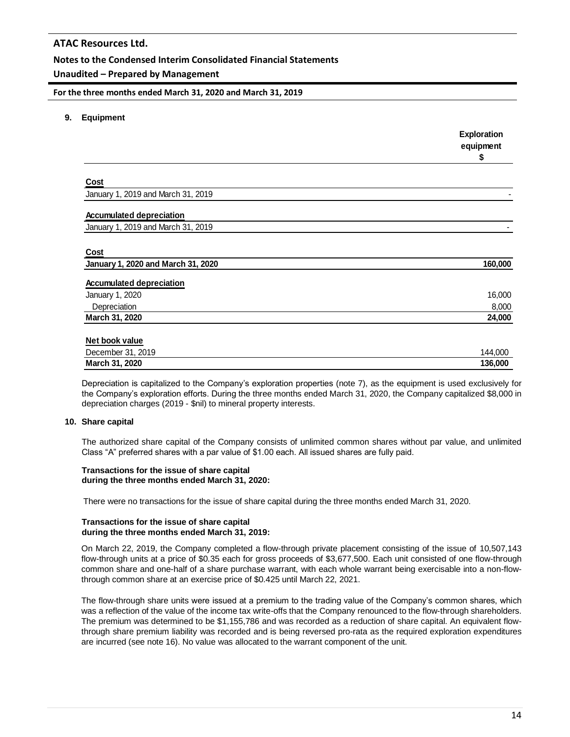## **Notes to the Condensed Interim Consolidated Financial Statements**

## **Unaudited – Prepared by Management**

**For the three months ended March 31, 2020 and March 31, 2019**

**9. Equipment**

|                                    | <b>Exploration</b><br>equipment<br>\$ |
|------------------------------------|---------------------------------------|
|                                    |                                       |
| <b>Cost</b>                        |                                       |
| January 1, 2019 and March 31, 2019 |                                       |
| <b>Accumulated depreciation</b>    |                                       |
| January 1, 2019 and March 31, 2019 |                                       |
|                                    |                                       |
| Cost                               |                                       |
| January 1, 2020 and March 31, 2020 | 160,000                               |
| <b>Accumulated depreciation</b>    |                                       |
| January 1, 2020                    | 16,000                                |
| Depreciation                       | 8,000                                 |
| March 31, 2020                     | 24,000                                |
| Net book value                     |                                       |
| December 31, 2019                  | 144,000                               |
| March 31, 2020                     | 136,000                               |

Depreciation is capitalized to the Company's exploration properties (note 7), as the equipment is used exclusively for the Company's exploration efforts. During the three months ended March 31, 2020, the Company capitalized \$8,000 in depreciation charges (2019 - \$nil) to mineral property interests.

## **10. Share capital**

The authorized share capital of the Company consists of unlimited common shares without par value, and unlimited Class "A" preferred shares with a par value of \$1.00 each. All issued shares are fully paid.

#### **Transactions for the issue of share capital during the three months ended March 31, 2020:**

There were no transactions for the issue of share capital during the three months ended March 31, 2020.

#### **Transactions for the issue of share capital during the three months ended March 31, 2019:**

On March 22, 2019, the Company completed a flow-through private placement consisting of the issue of 10,507,143 flow-through units at a price of \$0.35 each for gross proceeds of \$3,677,500. Each unit consisted of one flow-through common share and one-half of a share purchase warrant, with each whole warrant being exercisable into a non-flowthrough common share at an exercise price of \$0.425 until March 22, 2021.

The flow-through share units were issued at a premium to the trading value of the Company's common shares, which was a reflection of the value of the income tax write-offs that the Company renounced to the flow-through shareholders. The premium was determined to be \$1,155,786 and was recorded as a reduction of share capital. An equivalent flowthrough share premium liability was recorded and is being reversed pro-rata as the required exploration expenditures are incurred (see note 16). No value was allocated to the warrant component of the unit.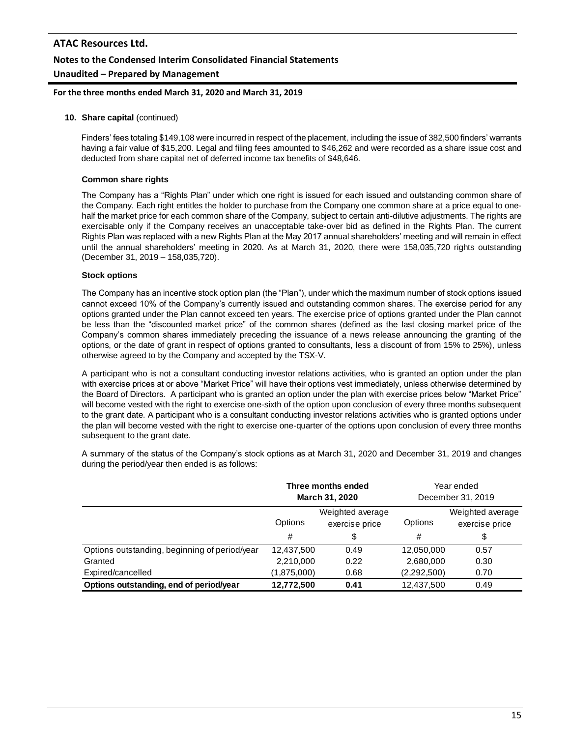# **ATAC Resources Ltd. Notes to the Condensed Interim Consolidated Financial Statements Unaudited – Prepared by Management**

#### **For the three months ended March 31, 2020 and March 31, 2019**

#### **10. Share capital** (continued)

Finders' fees totaling \$149,108 were incurred in respect of the placement, including the issue of 382,500 finders' warrants having a fair value of \$15,200. Legal and filing fees amounted to \$46,262 and were recorded as a share issue cost and deducted from share capital net of deferred income tax benefits of \$48,646.

#### **Common share rights**

The Company has a "Rights Plan" under which one right is issued for each issued and outstanding common share of the Company. Each right entitles the holder to purchase from the Company one common share at a price equal to onehalf the market price for each common share of the Company, subject to certain anti-dilutive adjustments. The rights are exercisable only if the Company receives an unacceptable take-over bid as defined in the Rights Plan. The current Rights Plan was replaced with a new Rights Plan at the May 2017 annual shareholders' meeting and will remain in effect until the annual shareholders' meeting in 2020. As at March 31, 2020, there were 158,035,720 rights outstanding (December 31, 2019 – 158,035,720).

#### **Stock options**

The Company has an incentive stock option plan (the "Plan"), under which the maximum number of stock options issued cannot exceed 10% of the Company's currently issued and outstanding common shares. The exercise period for any options granted under the Plan cannot exceed ten years. The exercise price of options granted under the Plan cannot be less than the "discounted market price" of the common shares (defined as the last closing market price of the Company's common shares immediately preceding the issuance of a news release announcing the granting of the options, or the date of grant in respect of options granted to consultants, less a discount of from 15% to 25%), unless otherwise agreed to by the Company and accepted by the TSX-V.

A participant who is not a consultant conducting investor relations activities, who is granted an option under the plan with exercise prices at or above "Market Price" will have their options vest immediately, unless otherwise determined by the Board of Directors. A participant who is granted an option under the plan with exercise prices below "Market Price" will become vested with the right to exercise one-sixth of the option upon conclusion of every three months subsequent to the grant date. A participant who is a consultant conducting investor relations activities who is granted options under the plan will become vested with the right to exercise one-quarter of the options upon conclusion of every three months subsequent to the grant date.

A summary of the status of the Company's stock options as at March 31, 2020 and December 31, 2019 and changes during the period/year then ended is as follows:

|                                               | Three months ended<br><b>March 31, 2020</b>   |      | Year ended<br>December 31, 2019 |                                    |
|-----------------------------------------------|-----------------------------------------------|------|---------------------------------|------------------------------------|
|                                               | Weighted average<br>Options<br>exercise price |      | Options                         | Weighted average<br>exercise price |
|                                               | #                                             | \$   | #                               | \$                                 |
| Options outstanding, beginning of period/year | 12,437,500                                    | 0.49 | 12,050,000                      | 0.57                               |
| Granted                                       | 2,210,000                                     | 0.22 | 2,680,000                       | 0.30                               |
| Expired/cancelled                             | (1,875,000)                                   | 0.68 | (2,292,500)                     | 0.70                               |
| Options outstanding, end of period/year       | 12,772,500                                    | 0.41 | 12,437,500                      | 0.49                               |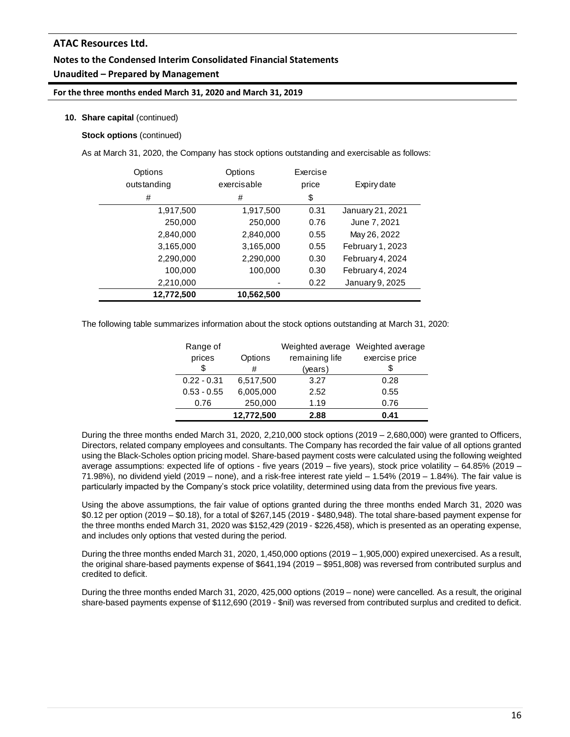## **Notes to the Condensed Interim Consolidated Financial Statements Unaudited – Prepared by Management**

## **For the three months ended March 31, 2020 and March 31, 2019**

## **10. Share capital** (continued)

**Stock options** (continued)

As at March 31, 2020, the Company has stock options outstanding and exercisable as follows:

| Options<br>outstanding | Options<br>exercisable | Exercise<br>price | Expiry date      |
|------------------------|------------------------|-------------------|------------------|
| #                      | #                      | \$                |                  |
| 1,917,500              | 1,917,500              | 0.31              | January 21, 2021 |
| 250,000                | 250,000                | 0.76              | June 7, 2021     |
| 2,840,000              | 2,840,000              | 0.55              | May 26, 2022     |
| 3,165,000              | 3,165,000              | 0.55              | February 1, 2023 |
| 2,290,000              | 2,290,000              | 0.30              | February 4, 2024 |
| 100,000                | 100,000                | 0.30              | February 4, 2024 |
| 2,210,000              |                        | 0.22              | January 9, 2025  |
| 12,772,500             | 10,562,500             |                   |                  |

The following table summarizes information about the stock options outstanding at March 31, 2020:

| Range of      |            | Weighted average | Weighted average |
|---------------|------------|------------------|------------------|
| prices        | Options    | remaining life   | exercise price   |
| \$            | #          | (years)          |                  |
| $0.22 - 0.31$ | 6,517,500  | 3.27             | 0.28             |
| $0.53 - 0.55$ | 6,005,000  | 2.52             | 0.55             |
| 0.76          | 250,000    | 1.19             | 0.76             |
|               | 12,772,500 | 2.88             | 0.41             |

During the three months ended March 31, 2020, 2,210,000 stock options (2019 – 2,680,000) were granted to Officers, Directors, related company employees and consultants. The Company has recorded the fair value of all options granted using the Black-Scholes option pricing model. Share-based payment costs were calculated using the following weighted average assumptions: expected life of options - five years (2019 – five years), stock price volatility – 64.85% (2019 – 71.98%), no dividend yield (2019 – none), and a risk-free interest rate yield – 1.54% (2019 – 1.84%). The fair value is particularly impacted by the Company's stock price volatility, determined using data from the previous five years.

Using the above assumptions, the fair value of options granted during the three months ended March 31, 2020 was \$0.12 per option (2019 – \$0.18), for a total of \$267,145 (2019 - \$480,948). The total share-based payment expense for the three months ended March 31, 2020 was \$152,429 (2019 - \$226,458), which is presented as an operating expense, and includes only options that vested during the period.

During the three months ended March 31, 2020, 1,450,000 options (2019 – 1,905,000) expired unexercised. As a result, the original share-based payments expense of \$641,194 (2019 – \$951,808) was reversed from contributed surplus and credited to deficit.

During the three months ended March 31, 2020, 425,000 options (2019 – none) were cancelled. As a result, the original share-based payments expense of \$112,690 (2019 - \$nil) was reversed from contributed surplus and credited to deficit.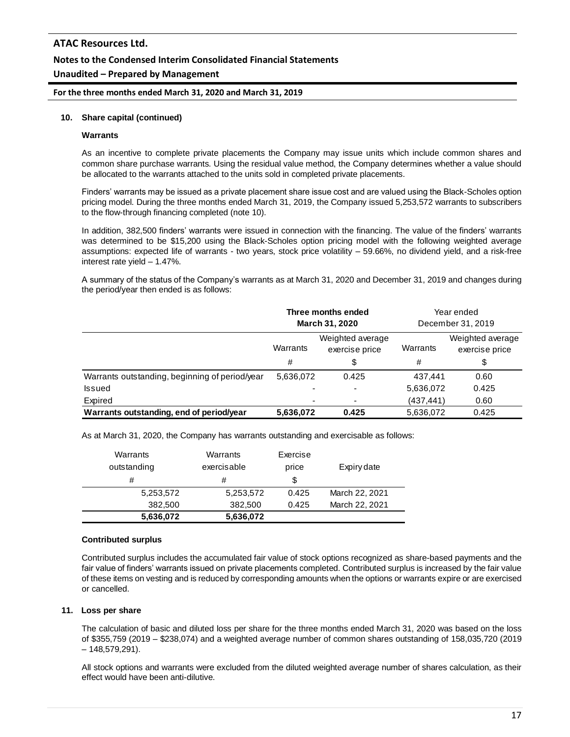**For the three months ended March 31, 2020 and March 31, 2019**

#### **10. Share capital (continued)**

#### **Warrants**

As an incentive to complete private placements the Company may issue units which include common shares and common share purchase warrants. Using the residual value method, the Company determines whether a value should be allocated to the warrants attached to the units sold in completed private placements.

Finders' warrants may be issued as a private placement share issue cost and are valued using the Black-Scholes option pricing model. During the three months ended March 31, 2019, the Company issued 5,253,572 warrants to subscribers to the flow-through financing completed (note 10).

In addition, 382,500 finders' warrants were issued in connection with the financing. The value of the finders' warrants was determined to be \$15,200 using the Black-Scholes option pricing model with the following weighted average assumptions: expected life of warrants - two years, stock price volatility – 59.66%, no dividend yield, and a risk-free interest rate yield – 1.47%.

A summary of the status of the Company's warrants as at March 31, 2020 and December 31, 2019 and changes during the period/year then ended is as follows:

|                                                | Three months ended<br><b>March 31, 2020</b>    |       | Year ended<br>December 31, 2019 |                                    |
|------------------------------------------------|------------------------------------------------|-------|---------------------------------|------------------------------------|
|                                                | Weighted average<br>Warrants<br>exercise price |       | Warrants                        | Weighted average<br>exercise price |
|                                                | #                                              | \$    | #                               | \$                                 |
| Warrants outstanding, beginning of period/year | 5,636,072                                      | 0.425 | 437.441                         | 0.60                               |
| Issued                                         |                                                |       | 5,636,072                       | 0.425                              |
| Expired                                        |                                                |       | (437, 441)                      | 0.60                               |
| Warrants outstanding, end of period/year       | 5.636,072                                      | 0.425 | 5,636,072                       | 0.425                              |

As at March 31, 2020, the Company has warrants outstanding and exercisable as follows:

| Warrants<br>outstanding | Warrants<br>exercisable | Exercise<br>price | Expiry date    |
|-------------------------|-------------------------|-------------------|----------------|
| #                       | #                       | \$                |                |
| 5,253,572               | 5,253,572               | 0.425             | March 22, 2021 |
| 382,500                 | 382,500                 | 0.425             | March 22, 2021 |
| 5,636,072               | 5,636,072               |                   |                |

#### **Contributed surplus**

Contributed surplus includes the accumulated fair value of stock options recognized as share-based payments and the fair value of finders' warrants issued on private placements completed. Contributed surplus is increased by the fair value of these items on vesting and is reduced by corresponding amounts when the options or warrants expire or are exercised or cancelled.

#### **11. Loss per share**

The calculation of basic and diluted loss per share for the three months ended March 31, 2020 was based on the loss of \$355,759 (2019 – \$238,074) and a weighted average number of common shares outstanding of 158,035,720 (2019 – 148,579,291).

All stock options and warrants were excluded from the diluted weighted average number of shares calculation, as their effect would have been anti-dilutive.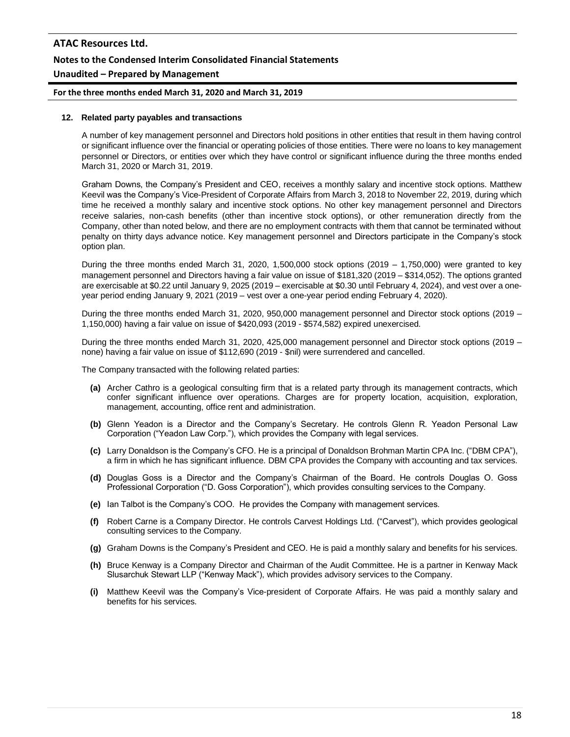# **ATAC Resources Ltd. Notes to the Condensed Interim Consolidated Financial Statements Unaudited – Prepared by Management**

**For the three months ended March 31, 2020 and March 31, 2019**

#### **12. Related party payables and transactions**

A number of key management personnel and Directors hold positions in other entities that result in them having control or significant influence over the financial or operating policies of those entities. There were no loans to key management personnel or Directors, or entities over which they have control or significant influence during the three months ended March 31, 2020 or March 31, 2019.

Graham Downs, the Company's President and CEO, receives a monthly salary and incentive stock options. Matthew Keevil was the Company's Vice-President of Corporate Affairs from March 3, 2018 to November 22, 2019, during which time he received a monthly salary and incentive stock options. No other key management personnel and Directors receive salaries, non-cash benefits (other than incentive stock options), or other remuneration directly from the Company, other than noted below, and there are no employment contracts with them that cannot be terminated without penalty on thirty days advance notice. Key management personnel and Directors participate in the Company's stock option plan.

During the three months ended March 31, 2020, 1,500,000 stock options (2019 – 1,750,000) were granted to key management personnel and Directors having a fair value on issue of \$181,320 (2019 – \$314,052). The options granted are exercisable at \$0.22 until January 9, 2025 (2019 – exercisable at \$0.30 until February 4, 2024), and vest over a oneyear period ending January 9, 2021 (2019 – vest over a one-year period ending February 4, 2020).

During the three months ended March 31, 2020, 950,000 management personnel and Director stock options (2019 – 1,150,000) having a fair value on issue of \$420,093 (2019 - \$574,582) expired unexercised.

During the three months ended March 31, 2020, 425,000 management personnel and Director stock options (2019 – none) having a fair value on issue of \$112,690 (2019 - \$nil) were surrendered and cancelled.

The Company transacted with the following related parties:

- **(a)** Archer Cathro is a geological consulting firm that is a related party through its management contracts, which confer significant influence over operations. Charges are for property location, acquisition, exploration, management, accounting, office rent and administration.
- **(b)** Glenn Yeadon is a Director and the Company's Secretary. He controls Glenn R. Yeadon Personal Law Corporation ("Yeadon Law Corp."), which provides the Company with legal services.
- **(c)** Larry Donaldson is the Company's CFO. He is a principal of Donaldson Brohman Martin CPA Inc. ("DBM CPA"), a firm in which he has significant influence. DBM CPA provides the Company with accounting and tax services.
- **(d)** Douglas Goss is a Director and the Company's Chairman of the Board. He controls Douglas O. Goss Professional Corporation ("D. Goss Corporation"), which provides consulting services to the Company.
- **(e)** Ian Talbot is the Company's COO. He provides the Company with management services.
- **(f)** Robert Carne is a Company Director. He controls Carvest Holdings Ltd. ("Carvest"), which provides geological consulting services to the Company.
- **(g)** Graham Downs is the Company's President and CEO. He is paid a monthly salary and benefits for his services.
- **(h)** Bruce Kenway is a Company Director and Chairman of the Audit Committee. He is a partner in Kenway Mack Slusarchuk Stewart LLP ("Kenway Mack"), which provides advisory services to the Company.
- **(i)** Matthew Keevil was the Company's Vice-president of Corporate Affairs. He was paid a monthly salary and benefits for his services.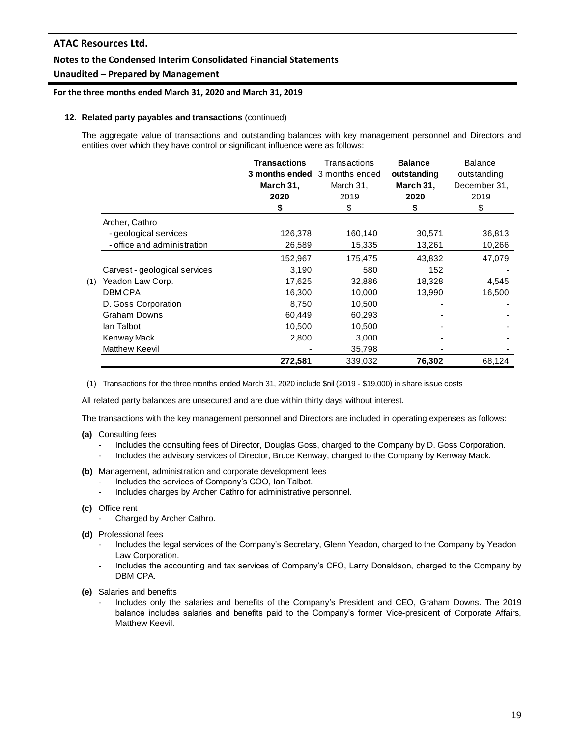## **Notes to the Condensed Interim Consolidated Financial Statements**

## **Unaudited – Prepared by Management**

#### **For the three months ended March 31, 2020 and March 31, 2019**

#### **12. Related party payables and transactions** (continued)

The aggregate value of transactions and outstanding balances with key management personnel and Directors and entities over which they have control or significant influence were as follows:

|     |                               | <b>Transactions</b><br>March 31,<br>2020<br>\$ | Transactions<br>3 months ended 3 months ended<br>March 31,<br>2019<br>\$ | <b>Balance</b><br>outstanding<br>March 31,<br>2020<br>\$ | <b>Balance</b><br>outstanding<br>December 31,<br>2019<br>\$ |
|-----|-------------------------------|------------------------------------------------|--------------------------------------------------------------------------|----------------------------------------------------------|-------------------------------------------------------------|
|     | Archer, Cathro                |                                                |                                                                          |                                                          |                                                             |
|     | - geological services         | 126,378                                        | 160,140                                                                  | 30,571                                                   | 36,813                                                      |
|     | - office and administration   | 26,589                                         | 15,335                                                                   | 13,261                                                   | 10,266                                                      |
|     |                               | 152,967                                        | 175,475                                                                  | 43,832                                                   | 47,079                                                      |
|     | Carvest - geological services | 3,190                                          | 580                                                                      | 152                                                      |                                                             |
| (1) | Yeadon Law Corp.              | 17,625                                         | 32,886                                                                   | 18,328                                                   | 4,545                                                       |
|     | <b>DBMCPA</b>                 | 16,300                                         | 10,000                                                                   | 13,990                                                   | 16,500                                                      |
|     | D. Goss Corporation           | 8,750                                          | 10,500                                                                   |                                                          |                                                             |
|     | <b>Graham Downs</b>           | 60,449                                         | 60,293                                                                   |                                                          |                                                             |
|     | lan Talbot                    | 10,500                                         | 10,500                                                                   |                                                          |                                                             |
|     | Kenway Mack                   | 2,800                                          | 3,000                                                                    |                                                          |                                                             |
|     | Matthew Keevil                |                                                | 35,798                                                                   |                                                          |                                                             |
|     |                               | 272,581                                        | 339,032                                                                  | 76,302                                                   | 68,124                                                      |

(1) Transactions for the three months ended March 31, 2020 include \$nil (2019 - \$19,000) in share issue costs

All related party balances are unsecured and are due within thirty days without interest.

The transactions with the key management personnel and Directors are included in operating expenses as follows:

- **(a)** Consulting fees
	- Includes the consulting fees of Director, Douglas Goss, charged to the Company by D. Goss Corporation.
	- Includes the advisory services of Director, Bruce Kenway, charged to the Company by Kenway Mack.
- **(b)** Management, administration and corporate development fees
	- Includes the services of Company's COO, Ian Talbot.
	- Includes charges by Archer Cathro for administrative personnel.
- **(c)** Office rent
	- Charged by Archer Cathro.
- **(d)** Professional fees
	- Includes the legal services of the Company's Secretary, Glenn Yeadon, charged to the Company by Yeadon Law Corporation.
	- Includes the accounting and tax services of Company's CFO, Larry Donaldson, charged to the Company by DBM CPA.
- **(e)** Salaries and benefits
	- Includes only the salaries and benefits of the Company's President and CEO, Graham Downs. The 2019 balance includes salaries and benefits paid to the Company's former Vice-president of Corporate Affairs, Matthew Keevil.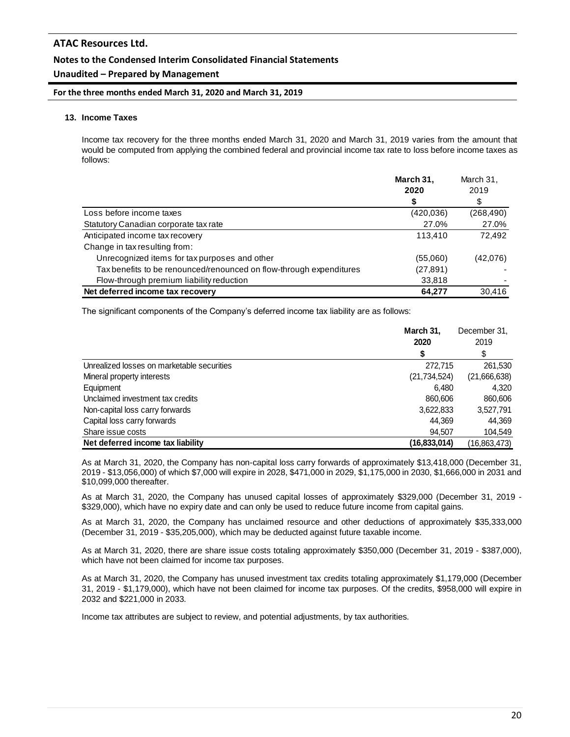## **Notes to the Condensed Interim Consolidated Financial Statements**

## **Unaudited – Prepared by Management**

**For the three months ended March 31, 2020 and March 31, 2019**

## **13. Income Taxes**

Income tax recovery for the three months ended March 31, 2020 and March 31, 2019 varies from the amount that would be computed from applying the combined federal and provincial income tax rate to loss before income taxes as follows:

|                                                                     | March 31, | March 31,  |  |
|---------------------------------------------------------------------|-----------|------------|--|
|                                                                     | 2020      | 2019       |  |
|                                                                     | S         | \$         |  |
| Loss before income taxes                                            | (420,036) | (268, 490) |  |
| Statutory Canadian corporate tax rate                               | 27.0%     | 27.0%      |  |
| Anticipated income tax recovery                                     | 113.410   | 72,492     |  |
| Change in tax resulting from:                                       |           |            |  |
| Unrecognized items for tax purposes and other                       | (55,060)  | (42,076)   |  |
| Tax benefits to be renounced/renounced on flow-through expenditures | (27, 891) |            |  |
| Flow-through premium liability reduction                            | 33,818    |            |  |
| Net deferred income tax recovery                                    | 64,277    | 30,416     |  |

The significant components of the Company's deferred income tax liability are as follows:

|                                            | March 31,<br>2020 | December 31,<br>2019 |
|--------------------------------------------|-------------------|----------------------|
|                                            |                   | \$                   |
| Unrealized losses on marketable securities | 272,715           | 261,530              |
| Mineral property interests                 | (21, 734, 524)    | (21,666,638)         |
| Equipment                                  | 6.480             | 4.320                |
| Unclaimed investment tax credits           | 860,606           | 860,606              |
| Non-capital loss carry forwards            | 3,622,833         | 3,527,791            |
| Capital loss carry forwards                | 44.369            | 44.369               |
| Share issue costs                          | 94,507            | 104,549              |
| Net deferred income tax liability          | (16, 833, 014)    | (16, 863, 473)       |

As at March 31, 2020, the Company has non-capital loss carry forwards of approximately \$13,418,000 (December 31, 2019 - \$13,056,000) of which \$7,000 will expire in 2028, \$471,000 in 2029, \$1,175,000 in 2030, \$1,666,000 in 2031 and \$10,099,000 thereafter.

As at March 31, 2020, the Company has unused capital losses of approximately \$329,000 (December 31, 2019 - \$329,000), which have no expiry date and can only be used to reduce future income from capital gains.

As at March 31, 2020, the Company has unclaimed resource and other deductions of approximately \$35,333,000 (December 31, 2019 - \$35,205,000), which may be deducted against future taxable income.

As at March 31, 2020, there are share issue costs totaling approximately \$350,000 (December 31, 2019 - \$387,000), which have not been claimed for income tax purposes.

As at March 31, 2020, the Company has unused investment tax credits totaling approximately \$1,179,000 (December 31, 2019 - \$1,179,000), which have not been claimed for income tax purposes. Of the credits, \$958,000 will expire in 2032 and \$221,000 in 2033.

Income tax attributes are subject to review, and potential adjustments, by tax authorities.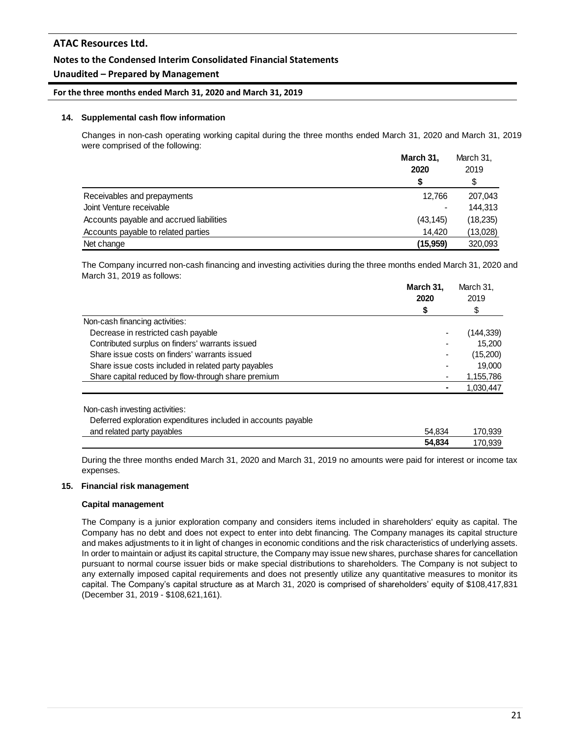## **Notes to the Condensed Interim Consolidated Financial Statements**

## **Unaudited – Prepared by Management**

#### **For the three months ended March 31, 2020 and March 31, 2019**

#### **14. Supplemental cash flow information**

Changes in non-cash operating working capital during the three months ended March 31, 2020 and March 31, 2019 were comprised of the following:

|                                          | March 31,<br>2020<br>S | March 31,<br>2019<br>\$ |
|------------------------------------------|------------------------|-------------------------|
| Receivables and prepayments              | 12.766                 | 207,043                 |
| Joint Venture receivable                 |                        | 144.313                 |
| Accounts payable and accrued liabilities | (43, 145)              | (18, 235)               |
| Accounts payable to related parties      | 14.420                 | (13,028)                |
| Net change                               | (15, 959)              | 320,093                 |

The Company incurred non-cash financing and investing activities during the three months ended March 31, 2020 and March 31, 2019 as follows:

|                                                                | March 31,<br>2020 | March 31,<br>2019 |  |
|----------------------------------------------------------------|-------------------|-------------------|--|
|                                                                | \$                | \$                |  |
| Non-cash financing activities:                                 |                   |                   |  |
| Decrease in restricted cash payable                            |                   | (144,339)         |  |
| Contributed surplus on finders' warrants issued                |                   | 15,200            |  |
| Share issue costs on finders' warrants issued                  |                   | (15,200)          |  |
| Share issue costs included in related party payables           |                   | 19,000            |  |
| Share capital reduced by flow-through share premium            |                   | 1,155,786         |  |
|                                                                |                   | 1,030,447         |  |
| Non-cash investing activities:                                 |                   |                   |  |
| Deferred exploration expenditures included in accounts payable |                   | 170.939           |  |
| and related party payables                                     | 54.834            |                   |  |

During the three months ended March 31, 2020 and March 31, 2019 no amounts were paid for interest or income tax expenses.

#### **15. Financial risk management**

#### **Capital management**

The Company is a junior exploration company and considers items included in shareholders' equity as capital. The Company has no debt and does not expect to enter into debt financing. The Company manages its capital structure and makes adjustments to it in light of changes in economic conditions and the risk characteristics of underlying assets. In order to maintain or adjust its capital structure, the Company may issue new shares, purchase shares for cancellation pursuant to normal course issuer bids or make special distributions to shareholders. The Company is not subject to any externally imposed capital requirements and does not presently utilize any quantitative measures to monitor its capital. The Company's capital structure as at March 31, 2020 is comprised of shareholders' equity of \$108,417,831 (December 31, 2019 - \$108,621,161).

**54,834** 170,939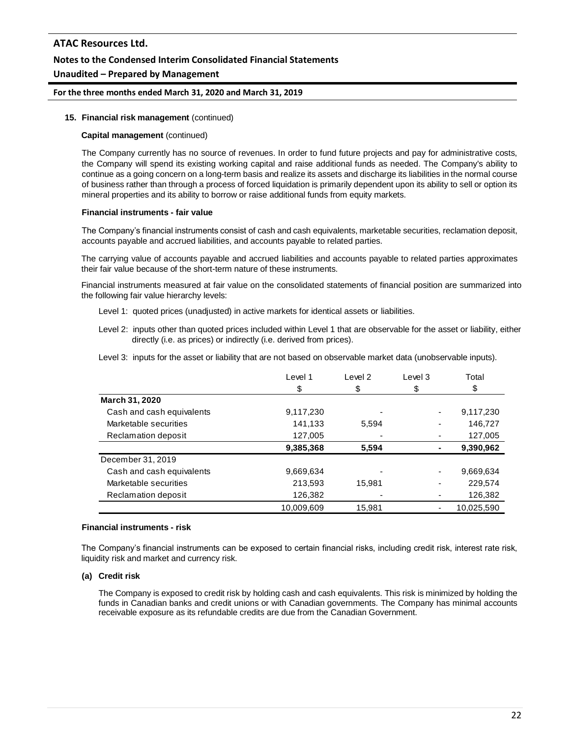# **ATAC Resources Ltd. Notes to the Condensed Interim Consolidated Financial Statements**

# **Unaudited – Prepared by Management**

## **For the three months ended March 31, 2020 and March 31, 2019**

#### **15. Financial risk management** (continued)

#### **Capital management** (continued)

The Company currently has no source of revenues. In order to fund future projects and pay for administrative costs, the Company will spend its existing working capital and raise additional funds as needed. The Company's ability to continue as a going concern on a long-term basis and realize its assets and discharge its liabilities in the normal course of business rather than through a process of forced liquidation is primarily dependent upon its ability to sell or option its mineral properties and its ability to borrow or raise additional funds from equity markets.

#### **Financial instruments - fair value**

The Company's financial instruments consist of cash and cash equivalents, marketable securities, reclamation deposit, accounts payable and accrued liabilities, and accounts payable to related parties.

The carrying value of accounts payable and accrued liabilities and accounts payable to related parties approximates their fair value because of the short-term nature of these instruments.

Financial instruments measured at fair value on the consolidated statements of financial position are summarized into the following fair value hierarchy levels:

- Level 1: quoted prices (unadjusted) in active markets for identical assets or liabilities.
- Level 2: inputs other than quoted prices included within Level 1 that are observable for the asset or liability, either directly (i.e. as prices) or indirectly (i.e. derived from prices).
- Level 3: inputs for the asset or liability that are not based on observable market data (unobservable inputs).

|                           | Level 1    | Level 2 | Level 3 | Total      |
|---------------------------|------------|---------|---------|------------|
|                           | \$         | \$      | \$      | \$         |
| March 31, 2020            |            |         |         |            |
| Cash and cash equivalents | 9,117,230  |         |         | 9,117,230  |
| Marketable securities     | 141,133    | 5,594   |         | 146,727    |
| Reclamation deposit       | 127,005    |         |         | 127,005    |
|                           | 9,385,368  | 5,594   |         | 9,390,962  |
| December 31, 2019         |            |         |         |            |
| Cash and cash equivalents | 9,669,634  |         |         | 9,669,634  |
| Marketable securities     | 213,593    | 15,981  |         | 229,574    |
| Reclamation deposit       | 126,382    |         |         | 126,382    |
|                           | 10.009.609 | 15,981  |         | 10,025,590 |

#### **Financial instruments - risk**

The Company's financial instruments can be exposed to certain financial risks, including credit risk, interest rate risk, liquidity risk and market and currency risk.

#### **(a) Credit risk**

The Company is exposed to credit risk by holding cash and cash equivalents. This risk is minimized by holding the funds in Canadian banks and credit unions or with Canadian governments. The Company has minimal accounts receivable exposure as its refundable credits are due from the Canadian Government.